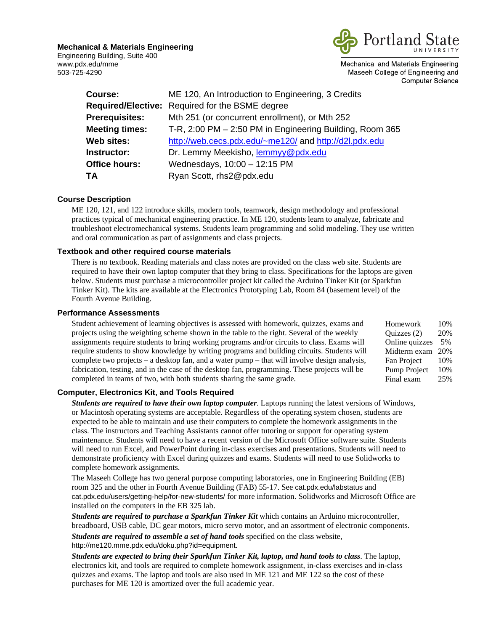**Mechanical & Materials Engineering** 

Engineering Building, Suite 400 www.pdx.edu/mme 503-725-4290



Mechanical and Materials Engineering Maseeh College of Engineering and **Computer Science** 

| Course:               | ME 120, An Introduction to Engineering, 3 Credits        |
|-----------------------|----------------------------------------------------------|
|                       | <b>Required/Elective:</b> Required for the BSME degree   |
| <b>Prerequisites:</b> | Mth 251 (or concurrent enrollment), or Mth 252           |
| <b>Meeting times:</b> | T-R, 2:00 PM – 2:50 PM in Engineering Building, Room 365 |
| Web sites:            | http://web.cecs.pdx.edu/~me120/ and http://d2l.pdx.edu   |
| <b>Instructor:</b>    | Dr. Lemmy Meekisho, lemmyy@pdx.edu                       |
| Office hours:         | Wednesdays, 10:00 - 12:15 PM                             |
| ΤA                    | Ryan Scott, rhs2@pdx.edu                                 |
|                       |                                                          |

# **Course Description**

ME 120, 121, and 122 introduce skills, modern tools, teamwork, design methodology and professional practices typical of mechanical engineering practice. In ME 120, students learn to analyze, fabricate and troubleshoot electromechanical systems. Students learn programming and solid modeling. They use written and oral communication as part of assignments and class projects.

## **Textbook and other required course materials**

There is no textbook. Reading materials and class notes are provided on the class web site. Students are required to have their own laptop computer that they bring to class. Specifications for the laptops are given below. Students must purchase a microcontroller project kit called the Arduino Tinker Kit (or Sparkfun Tinker Kit). The kits are available at the Electronics Prototyping Lab, Room 84 (basement level) of the Fourth Avenue Building.

## **Performance Assessments**

Student achievement of learning objectives is assessed with homework, quizzes, exams and projects using the weighting scheme shown in the table to the right. Several of the weekly assignments require students to bring working programs and/or circuits to class. Exams will require students to show knowledge by writing programs and building circuits. Students will complete two projects – a desktop fan, and a water pump – that will involve design analysis, fabrication, testing, and in the case of the desktop fan, programming. These projects will be completed in teams of two, with both students sharing the same grade. Homework 10% Quizzes (2) 20% Online quizzes 5% Midterm exam 20% Fan Project 10% Pump Project 10% Final exam 25%

### **Computer, Electronics Kit, and Tools Required**

*Students are required to have their own laptop computer*. Laptops running the latest versions of Windows, or Macintosh operating systems are acceptable. Regardless of the operating system chosen, students are expected to be able to maintain and use their computers to complete the homework assignments in the class. The instructors and Teaching Assistants cannot offer tutoring or support for operating system maintenance. Students will need to have a recent version of the Microsoft Office software suite. Students will need to run Excel, and PowerPoint during in-class exercises and presentations. Students will need to demonstrate proficiency with Excel during quizzes and exams. Students will need to use Solidworks to complete homework assignments.

The Maseeh College has two general purpose computing laboratories, one in Engineering Building (EB) room 325 and the other in Fourth Avenue Building (FAB) 55-17. See cat.pdx.edu/labstatus and cat.pdx.edu/users/getting-help/for-new-students/ for more information. Solidworks and Microsoft Office are installed on the computers in the EB 325 lab.

*Students are required to purchase a Sparkfun Tinker Kit* which contains an Arduino microcontroller, breadboard, USB cable, DC gear motors, micro servo motor, and an assortment of electronic components.

*Students are required to assemble a set of hand tools* specified on the class website, http://me120.mme.pdx.edu/doku.php?id=equipment.

*Students are expected to bring their Sparkfun Tinker Kit, laptop, and hand tools to class*. The laptop, electronics kit, and tools are required to complete homework assignment, in-class exercises and in-class quizzes and exams. The laptop and tools are also used in ME 121 and ME 122 so the cost of these purchases for ME 120 is amortized over the full academic year.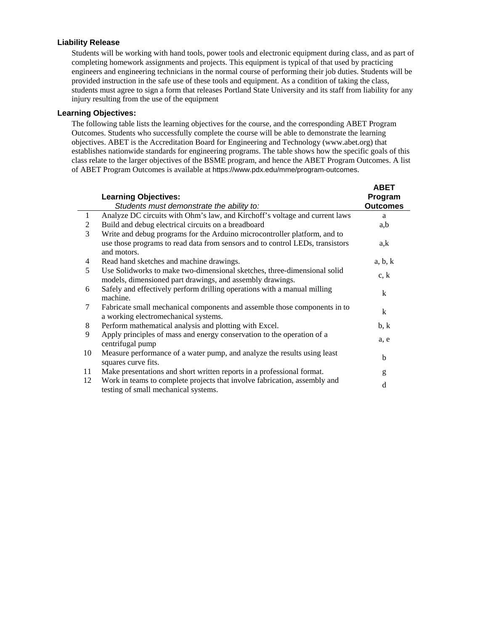## **Liability Release**

Students will be working with hand tools, power tools and electronic equipment during class, and as part of completing homework assignments and projects. This equipment is typical of that used by practicing engineers and engineering technicians in the normal course of performing their job duties. Students will be provided instruction in the safe use of these tools and equipment. As a condition of taking the class, students must agree to sign a form that releases Portland State University and its staff from liability for any injury resulting from the use of the equipment

## **Learning Objectives:**

The following table lists the learning objectives for the course, and the corresponding ABET Program Outcomes. Students who successfully complete the course will be able to demonstrate the learning objectives. ABET is the Accreditation Board for Engineering and Technology (www.abet.org) that establishes nationwide standards for engineering programs. The table shows how the specific goals of this class relate to the larger objectives of the BSME program, and hence the ABET Program Outcomes. A list of ABET Program Outcomes is available at https://www.pdx.edu/mme/program-outcomes.

|    | <b>Learning Objectives:</b>                                                                                                           | <b>ABET</b><br>Program |
|----|---------------------------------------------------------------------------------------------------------------------------------------|------------------------|
|    | Students must demonstrate the ability to:                                                                                             | <b>Outcomes</b>        |
| -1 | Analyze DC circuits with Ohm's law, and Kirchoff's voltage and current laws                                                           | a                      |
| 2  | Build and debug electrical circuits on a breadboard                                                                                   | a,b                    |
| 3  | Write and debug programs for the Arduino microcontroller platform, and to                                                             |                        |
|    | use those programs to read data from sensors and to control LEDs, transistors<br>and motors.                                          | a,k                    |
| 4  | Read hand sketches and machine drawings.                                                                                              | a, b, k                |
| 5  | Use Solidworks to make two-dimensional sketches, three-dimensional solid<br>models, dimensioned part drawings, and assembly drawings. | c, k                   |
| 6  | Safely and effectively perform drilling operations with a manual milling<br>machine.                                                  | k                      |
| 7  | Fabricate small mechanical components and assemble those components in to<br>a working electromechanical systems.                     | k                      |
| 8  | Perform mathematical analysis and plotting with Excel.                                                                                | b, k                   |
| 9  | Apply principles of mass and energy conservation to the operation of a<br>centrifugal pump                                            | a, e                   |
| 10 | Measure performance of a water pump, and analyze the results using least<br>squares curve fits.                                       | b                      |
| 11 | Make presentations and short written reports in a professional format.                                                                | g                      |
| 12 | Work in teams to complete projects that involve fabrication, assembly and<br>testing of small mechanical systems.                     | d                      |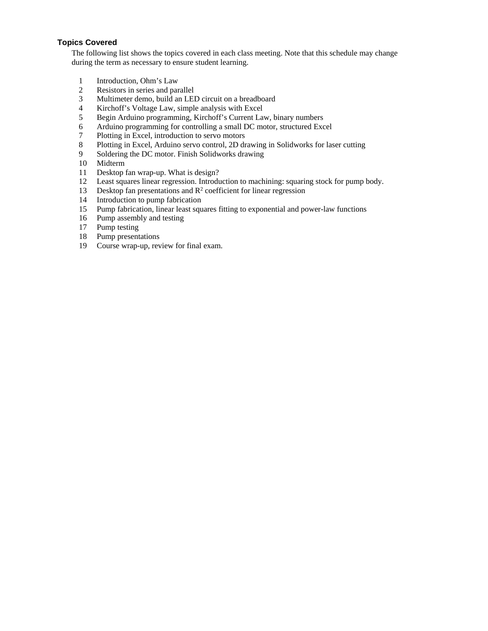# **Topics Covered**

The following list shows the topics covered in each class meeting. Note that this schedule may change during the term as necessary to ensure student learning.

- 1 Introduction, Ohm's Law
- 2 Resistors in series and parallel
- 3 Multimeter demo, build an LED circuit on a breadboard
- 4 Kirchoff's Voltage Law, simple analysis with Excel
- 5 Begin Arduino programming, Kirchoff's Current Law, binary numbers
- 6 Arduino programming for controlling a small DC motor, structured Excel
- 7 Plotting in Excel, introduction to servo motors
- 8 Plotting in Excel, Arduino servo control, 2D drawing in Solidworks for laser cutting
- 9 Soldering the DC motor. Finish Solidworks drawing
- 10 Midterm
- 11 Desktop fan wrap-up. What is design?
- 12 Least squares linear regression. Introduction to machining: squaring stock for pump body.
- 13 Desktop fan presentations and  $\mathbb{R}^2$  coefficient for linear regression
- 14 Introduction to pump fabrication
- 15 Pump fabrication, linear least squares fitting to exponential and power-law functions
- 16 Pump assembly and testing
- 17 Pump testing
- 18 Pump presentations
- 19 Course wrap-up, review for final exam.